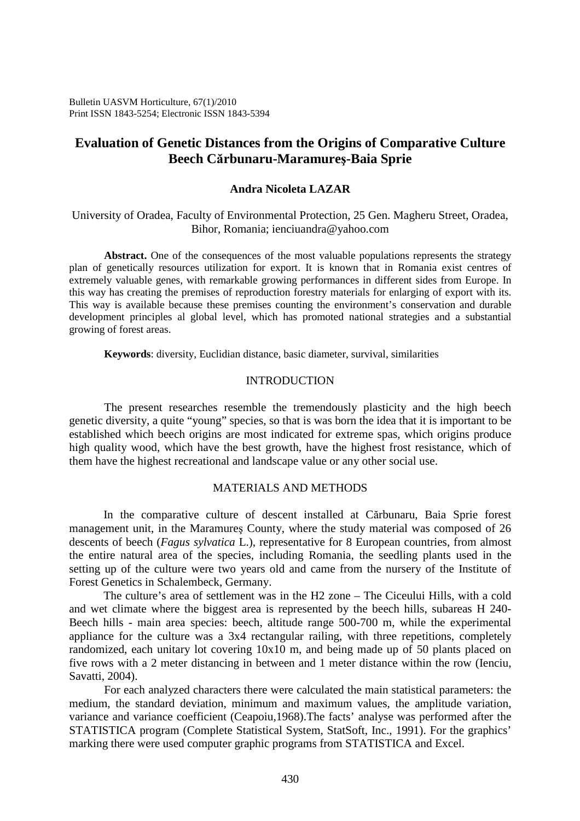Bulletin UASVM Horticulture, 67(1)/2010 Print ISSN 1843-5254; Electronic ISSN 1843-5394

# **Evaluation of Genetic Distances from the Origins of Comparative Culture Beech Cărbunaru-Maramureş-Baia Sprie**

## **Andra Nicoleta LAZAR**

University of Oradea, Faculty of Environmental Protection, 25 Gen. Magheru Street, Oradea, Bihor, Romania; ienciuandra@yahoo.com

Abstract. One of the consequences of the most valuable populations represents the strategy plan of genetically resources utilization for export. It is known that in Romania exist centres of extremely valuable genes, with remarkable growing performances in different sides from Europe. In this way has creating the premises of reproduction forestry materials for enlarging of export with its. This way is available because these premises counting the environment's conservation and durable development principles al global level, which has promoted national strategies and a substantial growing of forest areas.

**Keywords**: diversity, Euclidian distance, basic diameter, survival, similarities

# INTRODUCTION

The present researches resemble the tremendously plasticity and the high beech genetic diversity, a quite "young" species, so that is was born the idea that it is important to be established which beech origins are most indicated for extreme spas, which origins produce high quality wood, which have the best growth, have the highest frost resistance, which of them have the highest recreational and landscape value or any other social use.

# MATERIALS AND METHODS

In the comparative culture of descent installed at Cărbunaru, Baia Sprie forest management unit, in the Maramureş County, where the study material was composed of 26 descents of beech (*Fagus sylvatica* L.), representative for 8 European countries, from almost the entire natural area of the species, including Romania, the seedling plants used in the setting up of the culture were two years old and came from the nursery of the Institute of Forest Genetics in Schalembeck, Germany.

The culture's area of settlement was in the H2 zone – The Ciceului Hills, with a cold and wet climate where the biggest area is represented by the beech hills, subareas H 240- Beech hills - main area species: beech, altitude range 500-700 m, while the experimental appliance for the culture was a 3x4 rectangular railing, with three repetitions, completely randomized, each unitary lot covering 10x10 m, and being made up of 50 plants placed on five rows with a 2 meter distancing in between and 1 meter distance within the row (Ienciu, Savatti, 2004).

For each analyzed characters there were calculated the main statistical parameters: the medium, the standard deviation, minimum and maximum values, the amplitude variation, variance and variance coefficient (Ceapoiu,1968).The facts' analyse was performed after the STATISTICA program (Complete Statistical System, StatSoft, Inc., 1991). For the graphics' marking there were used computer graphic programs from STATISTICA and Excel.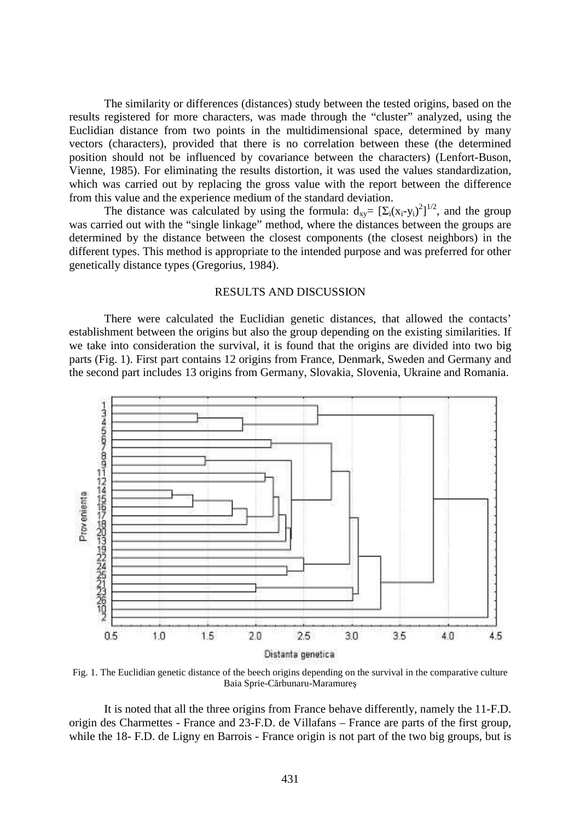The similarity or differences (distances) study between the tested origins, based on the results registered for more characters, was made through the "cluster" analyzed, using the Euclidian distance from two points in the multidimensional space, determined by many vectors (characters), provided that there is no correlation between these (the determined position should not be influenced by covariance between the characters) (Lenfort-Buson, Vienne, 1985). For eliminating the results distortion, it was used the values standardization, which was carried out by replacing the gross value with the report between the difference from this value and the experience medium of the standard deviation.

The distance was calculated by using the formula:  $d_{xy} = [\Sigma_i(x_i-y_i)^2]^{1/2}$ , and the group was carried out with the "single linkage" method, where the distances between the groups are determined by the distance between the closest components (the closest neighbors) in the different types. This method is appropriate to the intended purpose and was preferred for other genetically distance types (Gregorius, 1984).

### RESULTS AND DISCUSSION

There were calculated the Euclidian genetic distances, that allowed the contacts' establishment between the origins but also the group depending on the existing similarities. If we take into consideration the survival, it is found that the origins are divided into two big parts (Fig. 1). First part contains 12 origins from France, Denmark, Sweden and Germany and the second part includes 13 origins from Germany, Slovakia, Slovenia, Ukraine and Romania.



Fig. 1. The Euclidian genetic distance of the beech origins depending on the survival in the comparative culture Baia Sprie-Cărbunaru-Maramureş

It is noted that all the three origins from France behave differently, namely the 11-F.D. origin des Charmettes - France and 23-F.D. de Villafans – France are parts of the first group, while the 18- F.D. de Ligny en Barrois - France origin is not part of the two big groups, but is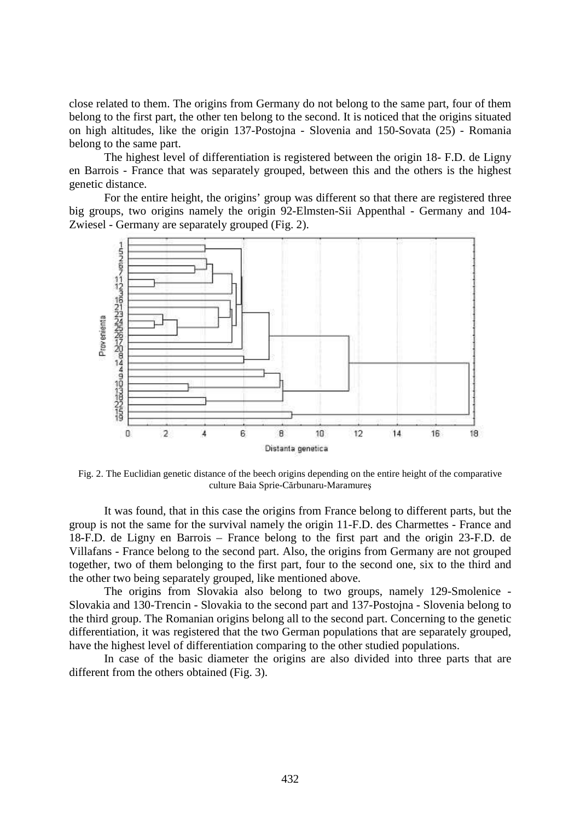close related to them. The origins from Germany do not belong to the same part, four of them belong to the first part, the other ten belong to the second. It is noticed that the origins situated on high altitudes, like the origin 137-Postojna - Slovenia and 150-Sovata (25) - Romania belong to the same part.

The highest level of differentiation is registered between the origin 18- F.D. de Ligny en Barrois - France that was separately grouped, between this and the others is the highest genetic distance.

For the entire height, the origins' group was different so that there are registered three big groups, two origins namely the origin 92-Elmsten-Sii Appenthal - Germany and 104- Zwiesel - Germany are separately grouped (Fig. 2).



Fig. 2. The Euclidian genetic distance of the beech origins depending on the entire height of the comparative culture Baia Sprie-Cărbunaru-Maramureş

It was found, that in this case the origins from France belong to different parts, but the group is not the same for the survival namely the origin 11-F.D. des Charmettes - France and 18-F.D. de Ligny en Barrois – France belong to the first part and the origin 23-F.D. de Villafans - France belong to the second part. Also, the origins from Germany are not grouped together, two of them belonging to the first part, four to the second one, six to the third and the other two being separately grouped, like mentioned above.

The origins from Slovakia also belong to two groups, namely 129-Smolenice - Slovakia and 130-Trencin - Slovakia to the second part and 137-Postojna - Slovenia belong to the third group. The Romanian origins belong all to the second part. Concerning to the genetic differentiation, it was registered that the two German populations that are separately grouped, have the highest level of differentiation comparing to the other studied populations.

In case of the basic diameter the origins are also divided into three parts that are different from the others obtained (Fig. 3).